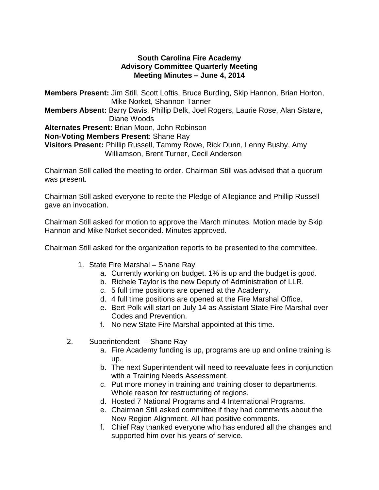# **South Carolina Fire Academy Advisory Committee Quarterly Meeting Meeting Minutes – June 4, 2014**

**Members Present:** Jim Still, Scott Loftis, Bruce Burding, Skip Hannon, Brian Horton, Mike Norket, Shannon Tanner **Members Absent:** Barry Davis, Phillip Delk, Joel Rogers, Laurie Rose, Alan Sistare, Diane Woods **Alternates Present:** Brian Moon, John Robinson **Non-Voting Members Present**: Shane Ray **Visitors Present:** Phillip Russell, Tammy Rowe, Rick Dunn, Lenny Busby, Amy Williamson, Brent Turner, Cecil Anderson

Chairman Still called the meeting to order. Chairman Still was advised that a quorum was present.

Chairman Still asked everyone to recite the Pledge of Allegiance and Phillip Russell gave an invocation.

Chairman Still asked for motion to approve the March minutes. Motion made by Skip Hannon and Mike Norket seconded. Minutes approved.

Chairman Still asked for the organization reports to be presented to the committee.

- 1. State Fire Marshal Shane Ray
	- a. Currently working on budget. 1% is up and the budget is good.
	- b. Richele Taylor is the new Deputy of Administration of LLR.
	- c. 5 full time positions are opened at the Academy.
	- d. 4 full time positions are opened at the Fire Marshal Office.
	- e. Bert Polk will start on July 14 as Assistant State Fire Marshal over Codes and Prevention.
	- f. No new State Fire Marshal appointed at this time.
- 2. Superintendent Shane Ray
	- a. Fire Academy funding is up, programs are up and online training is up.
	- b. The next Superintendent will need to reevaluate fees in conjunction with a Training Needs Assessment.
	- c. Put more money in training and training closer to departments. Whole reason for restructuring of regions.
	- d. Hosted 7 National Programs and 4 International Programs.
	- e. Chairman Still asked committee if they had comments about the New Region Alignment. All had positive comments.
	- f. Chief Ray thanked everyone who has endured all the changes and supported him over his years of service.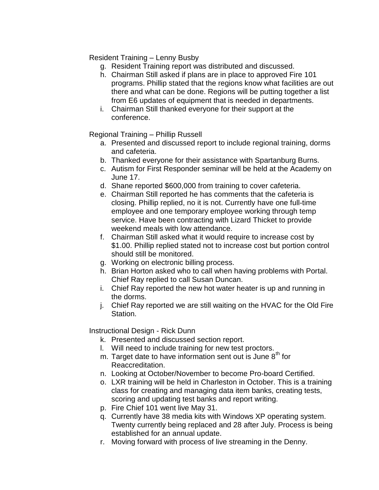Resident Training – Lenny Busby

- g. Resident Training report was distributed and discussed.
- h. Chairman Still asked if plans are in place to approved Fire 101 programs. Phillip stated that the regions know what facilities are out there and what can be done. Regions will be putting together a list from E6 updates of equipment that is needed in departments.
- i. Chairman Still thanked everyone for their support at the conference.

Regional Training – Phillip Russell

- a. Presented and discussed report to include regional training, dorms and cafeteria.
- b. Thanked everyone for their assistance with Spartanburg Burns.
- c. Autism for First Responder seminar will be held at the Academy on June 17.
- d. Shane reported \$600,000 from training to cover cafeteria.
- e. Chairman Still reported he has comments that the cafeteria is closing. Phillip replied, no it is not. Currently have one full-time employee and one temporary employee working through temp service. Have been contracting with Lizard Thicket to provide weekend meals with low attendance.
- f. Chairman Still asked what it would require to increase cost by \$1.00. Phillip replied stated not to increase cost but portion control should still be monitored.
- g. Working on electronic billing process.
- h. Brian Horton asked who to call when having problems with Portal. Chief Ray replied to call Susan Duncan.
- i. Chief Ray reported the new hot water heater is up and running in the dorms.
- j. Chief Ray reported we are still waiting on the HVAC for the Old Fire Station.

Instructional Design - Rick Dunn

- k. Presented and discussed section report.
- l. Will need to include training for new test proctors.
- m. Target date to have information sent out is June  $8<sup>th</sup>$  for Reaccreditation.
- n. Looking at October/November to become Pro-board Certified.
- o. LXR training will be held in Charleston in October. This is a training class for creating and managing data item banks, creating tests, scoring and updating test banks and report writing.
- p. Fire Chief 101 went live May 31.
- q. Currently have 38 media kits with Windows XP operating system. Twenty currently being replaced and 28 after July. Process is being established for an annual update.
- r. Moving forward with process of live streaming in the Denny.